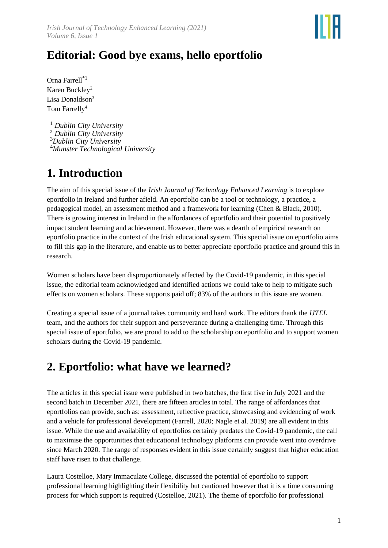

# **Editorial: Good bye exams, hello eportfolio**

Orna Farrell\*1 Karen Buckley<sup>2</sup> Lisa Donaldson<sup>3</sup> Tom Farrelly<sup>4</sup>

 *Dublin City University Dublin City University Dublin City University Munster Technological University*

### **1. Introduction**

The aim of this special issue of the *Irish Journal of Technology Enhanced Learning* is to explore eportfolio in Ireland and further afield. An eportfolio can be a tool or technology, a practice, a pedagogical model, an assessment method and a framework for learning (Chen & Black, 2010). There is growing interest in Ireland in the affordances of eportfolio and their potential to positively impact student learning and achievement. However, there was a dearth of empirical research on eportfolio practice in the context of the Irish educational system. This special issue on eportfolio aims to fill this gap in the literature, and enable us to better appreciate eportfolio practice and ground this in research.

Women scholars have been disproportionately affected by the Covid-19 pandemic, in this special issue, the editorial team acknowledged and identified actions we could take to help to mitigate such effects on women scholars. These supports paid off; 83% of the authors in this issue are women.

Creating a special issue of a journal takes community and hard work. The editors thank the *IJTEL* team, and the authors for their support and perseverance during a challenging time. Through this special issue of eportfolio, we are proud to add to the scholarship on eportfolio and to support women scholars during the Covid-19 pandemic.

### **2. Eportfolio: what have we learned?**

The articles in this special issue were published in two batches, the first five in July 2021 and the second batch in December 2021, there are fifteen articles in total. The range of affordances that eportfolios can provide, such as: assessment, reflective practice, showcasing and evidencing of work and a vehicle for professional development (Farrell, 2020; Nagle et al. 2019) are all evident in this issue. While the use and availability of eportfolios certainly predates the Covid-19 pandemic, the call to maximise the opportunities that educational technology platforms can provide went into overdrive since March 2020. The range of responses evident in this issue certainly suggest that higher education staff have risen to that challenge.

Laura Costelloe, Mary Immaculate College, discussed the potential of eportfolio to support professional learning highlighting their flexibility but cautioned however that it is a time consuming process for which support is required (Costelloe, 2021). The theme of eportfolio for professional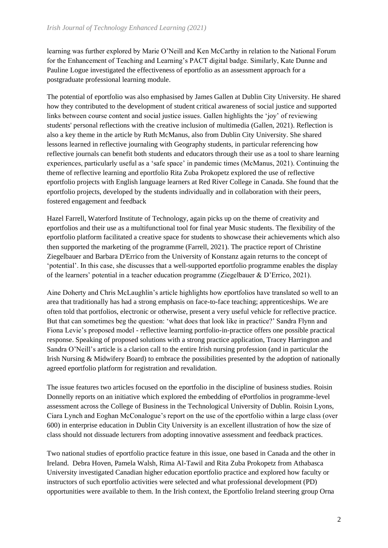learning was further explored by Marie O'Neill and Ken McCarthy in relation to the National Forum for the Enhancement of Teaching and Learning's PACT digital badge. Similarly, Kate Dunne and Pauline Logue investigated the effectiveness of eportfolio as an assessment approach for a postgraduate professional learning module.

The potential of eportfolio was also emphasised by James Gallen at Dublin City University. He shared how they contributed to the development of student critical awareness of social justice and supported links between course content and social justice issues. Gallen highlights the 'joy' of reviewing students' personal reflections with the creative inclusion of multimedia (Gallen, 2021). Reflection is also a key theme in the article by Ruth McManus, also from Dublin City University. She shared lessons learned in reflective journaling with Geography students, in particular referencing how reflective journals can benefit both students and educators through their use as a tool to share learning experiences, particularly useful as a 'safe space' in pandemic times (McManus, 2021). Continuing the theme of reflective learning and eportfolio Rita Zuba Prokopetz explored the use of reflective eportfolio projects with English language learners at Red River College in Canada. She found that the eportfolio projects, developed by the students individually and in collaboration with their peers, fostered engagement and feedback

Hazel Farrell, Waterford Institute of Technology, again picks up on the theme of creativity and eportfolios and their use as a multifunctional tool for final year Music students. The flexibility of the eportfolio platform facilitated a creative space for students to showcase their achievements which also then supported the marketing of the programme (Farrell, 2021). The practice report of Christine Ziegelbauer and Barbara D'Errico from the University of Konstanz again returns to the concept of 'potential'. In this case, she discusses that a well-supported eportfolio programme enables the display of the learners' potential in a teacher education programme (Ziegelbauer & D'Errico, 2021).

Aine Doherty and Chris McLaughlin's article highlights how eportfolios have translated so well to an area that traditionally has had a strong emphasis on face-to-face teaching; apprenticeships. We are often told that portfolios, electronic or otherwise, present a very useful vehicle for reflective practice. But that can sometimes beg the question: 'what does that look like in practice?' Sandra Flynn and Fiona Levie's proposed model - reflective learning portfolio-in-practice offers one possible practical response. Speaking of proposed solutions with a strong practice application, Tracey Harrington and Sandra O'Neill's article is a clarion call to the entire Irish nursing profession (and in particular the Irish Nursing & Midwifery Board) to embrace the possibilities presented by the adoption of nationally agreed eportfolio platform for registration and revalidation.

The issue features two articles focused on the eportfolio in the discipline of business studies. Roisin Donnelly reports on an initiative which explored the embedding of ePortfolios in programme-level assessment across the College of Business in the Technological University of Dublin. Roisin Lyons, Ciara Lynch and Eoghan McConalogue's report on the use of the eportfolio within a large class (over 600) in enterprise education in Dublin City University is an excellent illustration of how the size of class should not dissuade lecturers from adopting innovative assessment and feedback practices.

Two national studies of eportfolio practice feature in this issue, one based in Canada and the other in Ireland. Debra Hoven, Pamela Walsh, Rima Al-Tawil and Rita Zuba Prokopetz from Athabasca University investigated Canadian higher education eportfolio practice and explored how faculty or instructors of such eportfolio activities were selected and what professional development (PD) opportunities were available to them. In the Irish context, the Eportfolio Ireland steering group Orna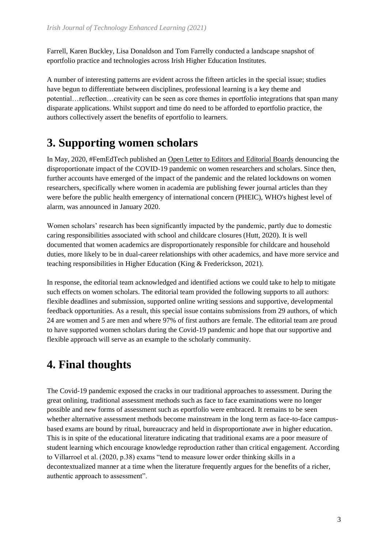Farrell, Karen Buckley, Lisa Donaldson and Tom Farrelly conducted a landscape snapshot of eportfolio practice and technologies across Irish Higher Education Institutes.

A number of interesting patterns are evident across the fifteen articles in the special issue; studies have begun to differentiate between disciplines, professional learning is a key theme and potential…reflection…creativity can be seen as core themes in eportfolio integrations that span many disparate applications. Whilst support and time do need to be afforded to eportfolio practice, the authors collectively assert the benefits of eportfolio to learners.

## **3. Supporting women scholars**

In May, 2020, #FemEdTech published a[n Open Letter to Editors and Editorial Boards](http://femedtech.net/published/open-letter-to-editors-editorial-boards/) denouncing the disproportionate impact of the COVID-19 pandemic on women researchers and scholars. Since then, further accounts have emerged of the impact of the pandemic and the related lockdowns on women researchers, specifically where women in academia are publishing fewer journal articles than they were before the public health emergency of international concern (PHEIC), WHO's highest level of alarm, was announced in January 2020.

Women scholars' research has been significantly impacted by the pandemic, partly due to domestic caring responsibilities associated with school and childcare closures (Hutt, 2020). It is well documented that women academics are disproportionately responsible for childcare and household duties, more likely to be in dual-career relationships with other academics, and have more service and teaching responsibilities in Higher Education (King & Frederickson, 2021).

In response, the editorial team acknowledged and identified actions we could take to help to mitigate such effects on women scholars. The editorial team provided the following supports to all authors: flexible deadlines and submission, supported online writing sessions and supportive, developmental feedback opportunities. As a result, this special issue contains submissions from 29 authors, of which 24 are women and 5 are men and where 97% of first authors are female. The editorial team are proud to have supported women scholars during the Covid-19 pandemic and hope that our supportive and flexible approach will serve as an example to the scholarly community.

# **4. Final thoughts**

The Covid-19 pandemic exposed the cracks in our traditional approaches to assessment. During the great onlining, traditional assessment methods such as face to face examinations were no longer possible and new forms of assessment such as eportfolio were embraced. It remains to be seen whether alternative assessment methods become mainstream in the long term as face-to-face campusbased exams are bound by ritual, bureaucracy and held in disproportionate awe in higher education. This is in spite of the educational literature indicating that traditional exams are a poor measure of student learning which encourage knowledge reproduction rather than critical engagement. According to Villarroel et al. (2020, p.38) exams "tend to measure lower order thinking skills in a decontextualized manner at a time when the literature frequently argues for the benefits of a richer, authentic approach to assessment".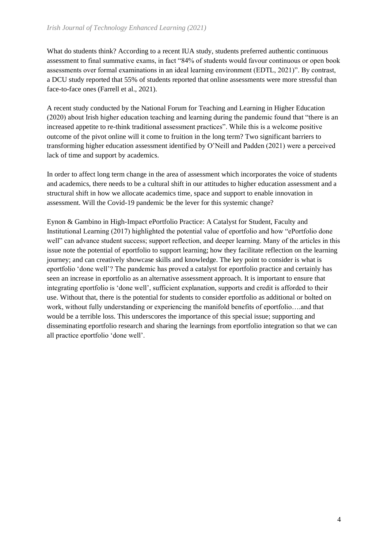What do students think? According to a recent IUA study, students preferred authentic continuous assessment to final summative exams, in fact "84% of students would favour continuous or open book assessments over formal examinations in an ideal learning environment (EDTL, 2021)". By contrast, a DCU study reported that 55% of students reported that online assessments were more stressful than face-to-face ones (Farrell et al., 2021).

A recent study conducted by the National Forum for Teaching and Learning in Higher Education (2020) about Irish higher education teaching and learning during the pandemic found that "there is an increased appetite to re-think traditional assessment practices". While this is a welcome positive outcome of the pivot online will it come to fruition in the long term? Two significant barriers to transforming higher education assessment identified by O'Neill and Padden (2021) were a perceived lack of time and support by academics.

In order to affect long term change in the area of assessment which incorporates the voice of students and academics, there needs to be a cultural shift in our attitudes to higher education assessment and a structural shift in how we allocate academics time, space and support to enable innovation in assessment. Will the Covid-19 pandemic be the lever for this systemic change?

Eynon & Gambino in High-Impact ePortfolio Practice: A Catalyst for Student, Faculty and Institutional Learning (2017) highlighted the potential value of eportfolio and how "ePortfolio done well" can advance student success; support reflection, and deeper learning. Many of the articles in this issue note the potential of eportfolio to support learning; how they facilitate reflection on the learning journey; and can creatively showcase skills and knowledge. The key point to consider is what is eportfolio 'done well'? The pandemic has proved a catalyst for eportfolio practice and certainly has seen an increase in eportfolio as an alternative assessment approach. It is important to ensure that integrating eportfolio is 'done well', sufficient explanation, supports and credit is afforded to their use. Without that, there is the potential for students to consider eportfolio as additional or bolted on work, without fully understanding or experiencing the manifold benefits of eportfolio….and that would be a terrible loss. This underscores the importance of this special issue; supporting and disseminating eportfolio research and sharing the learnings from eportfolio integration so that we can all practice eportfolio 'done well'.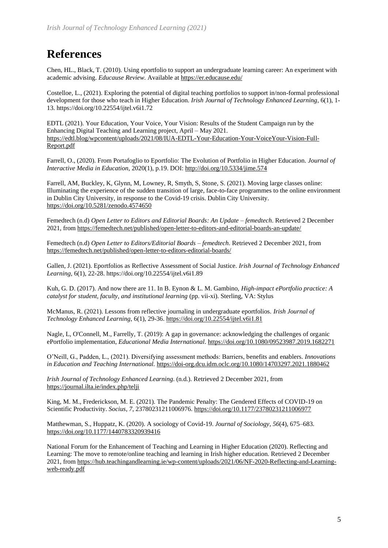### **References**

Chen, HL., Black, T. (2010). Using eportfolio to support an undergraduate learning career: An experiment with academic advising. *Educause Review.* Available a[t https://er.educause.edu/](https://er.educause.edu/)

Costelloe, L., (2021). Exploring the potential of digital teaching portfolios to support in/non-formal professional development for those who teach in Higher Education. *Irish Journal of Technology Enhanced Learning*, 6(1), 1- 13. https://doi.org/10.22554/ijtel.v6i1.72

EDTL (2021). Your Education, Your Voice, Your Vision: Results of the Student Campaign run by the Enhancing Digital Teaching and Learning project, April – May 2021. [https://edtl.blog/wpcontent/uploads/2021/08/IUA-EDTL-Your-Education-Your-VoiceYour-Vision-Full-](https://edtl.blog/wpcontent/uploads/2021/08/IUA-EDTL-Your-Education-Your-VoiceYour-Vision-Full-Report.pdf)[Report.pdf](https://edtl.blog/wpcontent/uploads/2021/08/IUA-EDTL-Your-Education-Your-VoiceYour-Vision-Full-Report.pdf)

Farrell, O., (2020). From Portafoglio to Eportfolio: The Evolution of Portfolio in Higher Education. *Journal of Interactive Media in Education*, 2020(1), p.19. DOI:<http://doi.org/10.5334/jime.574>

Farrell, AM, Buckley, K, Glynn, M, Lowney, R, Smyth, S, Stone, S. (2021). Moving large classes online: Illuminating the experience of the sudden transition of large, face-to-face programmes to the online environment in Dublin City University, in response to the Covid-19 crisis. Dublin City University. <https://doi.org/10.5281/zenodo.4574650>

Femedtech (n.d) *Open Letter to Editors and Editorial Boards: An Update – femedtech*. Retrieved 2 December 2021, fro[m](https://femedtech.net/published/open-letter-to-editors-and-editorial-boards-an-update/) <https://femedtech.net/published/open-letter-to-editors-and-editorial-boards-an-update/>

Femedtech (n.d) *Open Letter to Editors/Editorial Boards – femedtech*. Retrieved 2 December 2021, fro[m](https://femedtech.net/published/open-letter-to-editors-editorial-boards/) <https://femedtech.net/published/open-letter-to-editors-editorial-boards/>

Gallen, J. (2021). Eportfolios as Reflective Assessment of Social Justice. *Irish Journal of Technology Enhanced Learning*, 6(1), 22-28. https://doi.org/10.22554/ijtel.v6i1.89

Kuh, G. D. (2017). And now there are 11. In B. Eynon & L. M. Gambino, *High-impact ePortfolio practice: A catalyst for student, faculty, and institutional learning* (pp. vii-xi). Sterling, VA: Stylus

McManus, R. (2021). Lessons from reflective journaling in undergraduate eportfolios. *Irish Journal of Technology Enhanced Learning*, 6(1), 29-36. <https://doi.org/10.22554/ijtel.v6i1.81>

Nagle, L, O'Connell, M., Farrelly, T. (2019): A gap in governance: acknowledging the challenges of organic ePortfolio implementation, *Educational Media International*.<https://doi.org/10.1080/09523987.2019.1682271>

O'Neill, G., Padden, L., (2021). Diversifying assessment methods: Barriers, benefits and enablers. *Innovations in Education and Teaching International.* <https://doi-org.dcu.idm.oclc.org/10.1080/14703297.2021.1880462>

*Irish Journal of Technology Enhanced Learning*. (n.d.). Retrieved 2 December 2021, fro[m](https://journal.ilta.ie/index.php/telji) <https://journal.ilta.ie/index.php/telji>

King, M. M., Frederickson, M. E. (2021). The Pandemic Penalty: The Gendered Effects of COVID-19 on Scientific Productivity. *Socius*, *7*, 23780231211006976. <https://doi.org/10.1177/23780231211006977>

Matthewman, S., Huppatz, K. (2020). A sociology of Covid-19. *Journal of Sociology*, *56*(4), 675–683[.](https://doi.org/10.1177/1440783320939416) <https://doi.org/10.1177/1440783320939416>

National Forum for the Enhancement of Teaching and Learning in Higher Education (2020). Reflecting and Learning: The move to remote/online teaching and learning in Irish higher education. Retrieved 2 December 2021, fro[m](https://femedtech.net/published/open-letter-to-editors-and-editorial-boards-an-update/) [https://hub.teachingandlearning.ie/wp-content/uploads/2021/06/NF-2020-Reflecting-and-Learning](https://hub.teachingandlearning.ie/wp-content/uploads/2021/06/NF-2020-Reflecting-and-Learning-web-ready.pdf)[web-ready.pdf](https://hub.teachingandlearning.ie/wp-content/uploads/2021/06/NF-2020-Reflecting-and-Learning-web-ready.pdf)